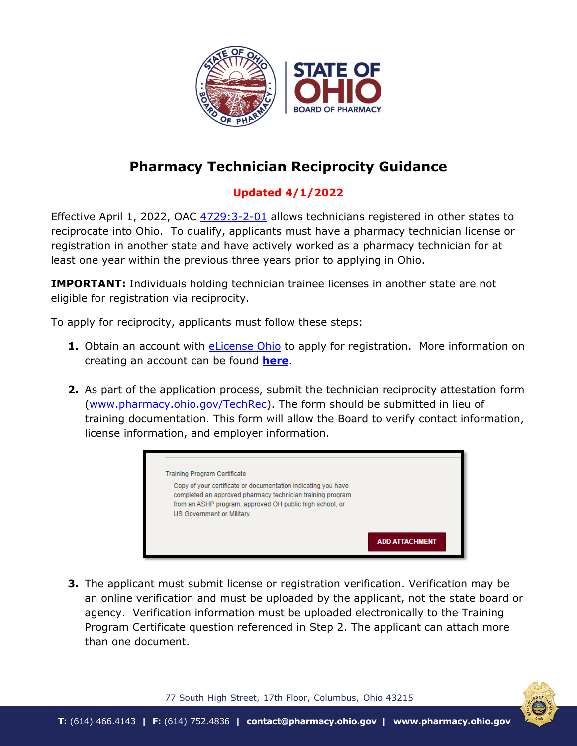

## **Pharmacy Technician Reciprocity Guidance**

## **Updated 4/1/2022**

Effective April 1, 2022, OAC  $4729:3-2-01$  allows technicians registered in other states to reciprocate into Ohio. To qualify, applicants must have a pharmacy technician license or registration in another state and have actively worked as a pharmacy technician for at least one year within the previous three years prior to applying in Ohio.

**IMPORTANT:** Individuals holding technician trainee licenses in another state are not eligible for registration via reciprocity.

To apply for reciprocity, applicants must follow these steps:

- **1.** Obtain an account with **eLicense Ohio** to apply for registration. More information on creating an account can be found **[here](https://www.pharmacy.ohio.gov/Documents/Licensing/PTech/eLicense/Registering%20for%20an%20Account.pdf)**.
- **2.** As part of the application process, submit the technician reciprocity attestation form [\(www.pharmacy.ohio.gov/TechRec\)](http://www.pharmacy.ohio.gov/TechRec). The form should be submitted in lieu of training documentation. This form will allow the Board to verify contact information, license information, and employer information.



**3.** The applicant must submit license or registration verification. Verification may be an online verification and must be uploaded by the applicant, not the state board or agency. Verification information must be uploaded electronically to the Training Program Certificate question referenced in Step 2. The applicant can attach more than one document.



77 South High Street, 17th Floor, Columbus, Ohio 43215